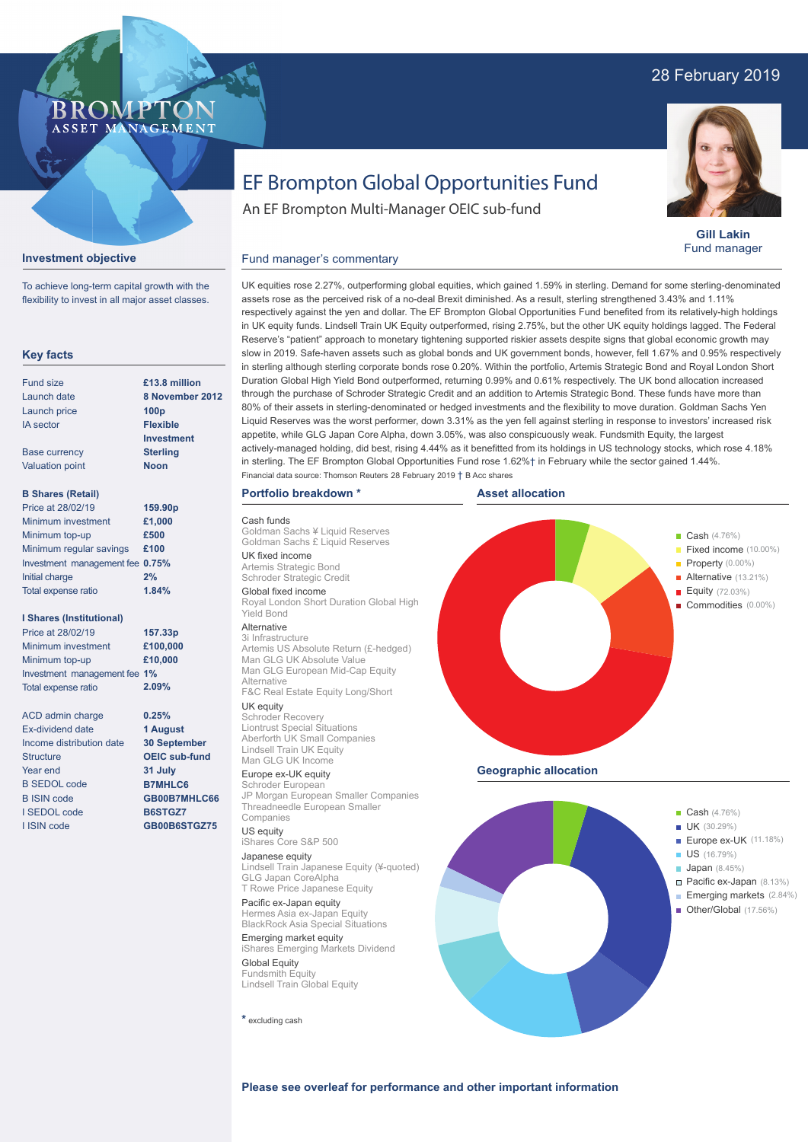# 28 February 2019



**Gill Lakin** Fund manager



An EF Brompton Multi-Manager OEIC sub-fund

### Fund manager's commentary

**Key facts** Fund size Launch date Launch price IA sector Base currency Valuation point **B Shares (Retail)** Minimum investment Minimum top-up Minimum regular savings **£100** Investment management fee **0.75%** Initial charge Total expense ratio **I Shares (Institutional)** Minimum investment Minimum top-up Investment management fee **1%** Total expense ratio ACD admin charge Ex-dividend date Income distribution date **Structure** Year end B SEDOL code B ISIN code I SEDOL code I ISIN code **8 November 2012 100p Flexible Investment Sterling Noon £1,000 £500 2% £100,000 £10,000 0.25% 1 August 30 September OEIC sub-fund 31 July B7MHLC6 GB00B7MHLC66 B6STGZ7 GB00B6STGZ75 £13.8 million 159.90p 157.33p** Price at 28/02/19 Price at 28/02/19 **1.84% 2.09%**

**Investment objective**

To achieve long-term capital growth with the flexibility to invest in all major asset classes.

**BROMP** 

ASSET MANAGEMENT

UK equities rose 2.27%, outperforming global equities, which gained 1.59% in sterling. Demand for some sterling-denominated assets rose as the perceived risk of a no-deal Brexit diminished. As a result, sterling strengthened 3.43% and 1.11% respectively against the yen and dollar. The EF Brompton Global Opportunities Fund benefited from its relatively-high holdings in UK equity funds. Lindsell Train UK Equity outperformed, rising 2.75%, but the other UK equity holdings lagged. The Federal Reserve's "patient" approach to monetary tightening supported riskier assets despite signs that global economic growth may slow in 2019. Safe-haven assets such as global bonds and UK government bonds, however, fell 1.67% and 0.95% respectively in sterling although sterling corporate bonds rose 0.20%. Within the portfolio, Artemis Strategic Bond and Royal London Short Duration Global High Yield Bond outperformed, returning 0.99% and 0.61% respectively. The UK bond allocation increased through the purchase of Schroder Strategic Credit and an addition to Artemis Strategic Bond. These funds have more than 80% of their assets in sterling-denominated or hedged investments and the flexibility to move duration. Goldman Sachs Yen Liquid Reserves was the worst performer, down 3.31% as the yen fell against sterling in response to investors' increased risk appetite, while GLG Japan Core Alpha, down 3.05%, was also conspicuously weak. Fundsmith Equity, the largest actively-managed holding, did best, rising 4.44% as it benefitted from its holdings in US technology stocks, which rose 4.18% in sterling. The EF Brompton Global Opportunities Fund rose 1.62%† in February while the sector gained 1.44%. Financial data source: Thomson Reuters 28 February 2019 † B Acc shares

### **Portfolio breakdown \***

Cash funds Goldman Sachs ¥ Liquid Reserves Goldman Sachs £ Liquid Reserves UK fixed income Artemis Strategic Bond Schroder Strategic Credit Global fixed income Royal London Short Duration Global High Yield Bond Alternative 3i Infrastructure Artemis US Absolute Return (£-hedged) Man GLG UK Absolute Value Man GLG European Mid-Cap Equity

#### Alternative F&C Real Estate Equity Long/Short

UK equity Schroder Recovery Liontrust Special Situations Aberforth UK Small Companies Lindsell Train UK Equity Man GLG UK Income

#### Europe ex-UK equity

Schroder European JP Morgan European Smaller Companies Threadneedle European Smaller Companies

# US equity

iShares Core S&P 500 Japanese equity Lindsell Train Japanese Equity (¥-quoted) GLG Japan CoreAlpha T Rowe Price Japanese Equity

Pacific ex-Japan equity Hermes Asia ex-Japan Equity BlackRock Asia Special Situations

Emerging market equity iShares Emerging Markets Dividend Global Equity Fundsmith Equity Lindsell Train Global Equity

**\*** excluding cash